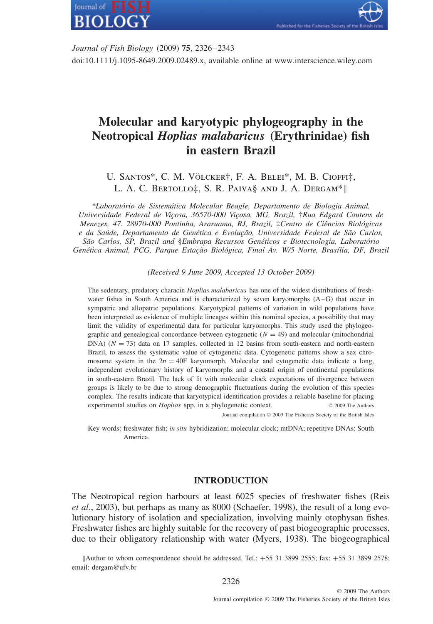

ished for the Fisheries Society

*Journal of Fish Biology* (2009) **75**, 2326–2343 doi:10.1111/j.1095-8649.2009.02489.x, available online at www.interscience.wiley.com

# **Molecular and karyotypic phylogeography in the Neotropical** *Hoplias malabaricus* **(Erythrinidae) fish in eastern Brazil**

U. SANTOS\*, C. M. VÖLCKER†, F. A. BELEI\*, M. B. CIOFFI‡, L. A. C. Bertollo‡, S. R. Paiva§ and J. A. Dergam\*||

*\*Laborat´orio de Sistem´atica Molecular Beagle, Departamento de Biologia Animal, Universidade Federal de Vi¸cosa, 36570-000 Vi¸cosa, MG, Brazil,* †*Rua Edgard Coutens de Menezes, 47. 28970-000 Pontinha, Araruama, RJ, Brazil,* ‡*Centro de Ciˆencias Biol´ogicas* e da Saúde, Departamento de Genética e Evolução, Universidade Federal de São Carlos, *S˜ao Carlos, SP, Brazil and* §*Embrapa Recursos Gen´eticos e Biotecnologia, Laborat´orio* Genética Animal, PCG, Parque Estação Biológica, Final Av. W/5 Norte, Brasília, DF, Brazil

*(Received 9 June 2009, Accepted 13 October 2009)*

The sedentary, predatory characin *Hoplias malabaricus* has one of the widest distributions of freshwater fishes in South America and is characterized by seven karyomorphs (A–G) that occur in sympatric and allopatric populations. Karyotypical patterns of variation in wild populations have been interpreted as evidence of multiple lineages within this nominal species, a possibility that may limit the validity of experimental data for particular karyomorphs. This study used the phylogeographic and genealogical concordance between cytogenetic  $(N = 49)$  and molecular (mitochondrial DNA)  $(N = 73)$  data on 17 samples, collected in 12 basins from south-eastern and north-eastern Brazil, to assess the systematic value of cytogenetic data. Cytogenetic patterns show a sex chromosome system in the  $2n = 40F$  karyomorph. Molecular and cytogenetic data indicate a long, independent evolutionary history of karyomorphs and a coastal origin of continental populations in south-eastern Brazil. The lack of fit with molecular clock expectations of divergence between groups is likely to be due to strong demographic fluctuations during the evolution of this species complex. The results indicate that karyotypical identification provides a reliable baseline for placing experimental studies on *Hoplias* spp. in a phylogenetic context.  $\circ$  2009 The Authors Journal compilation © 2009 The Fisheries Society of the British Isles

Key words: freshwater fish; *in situ* hybridization; molecular clock; mtDNA; repetitive DNAs; South

America.

## **INTRODUCTION**

The Neotropical region harbours at least 6025 species of freshwater fishes (Reis *et al*., 2003), but perhaps as many as 8000 (Schaefer, 1998), the result of a long evolutionary history of isolation and specialization, involving mainly otophysan fishes. Freshwater fishes are highly suitable for the recovery of past biogeographic processes, due to their obligatory relationship with water (Myers, 1938). The biogeographical

||Author to whom correspondence should be addressed. Tel.: +55 31 3899 2555; fax: +55 31 3899 2578; email: dergam@ufv.br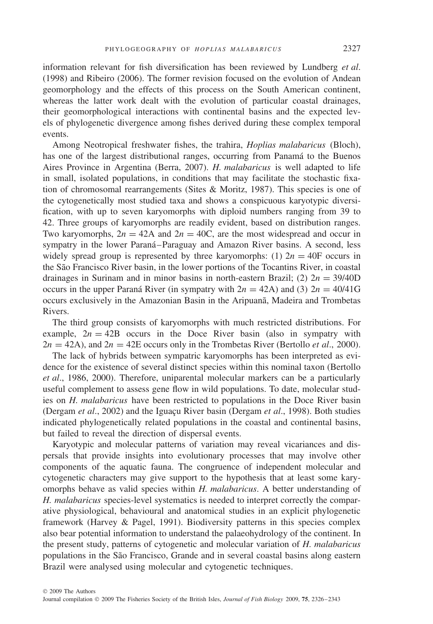information relevant for fish diversification has been reviewed by Lundberg *et al*. (1998) and Ribeiro (2006). The former revision focused on the evolution of Andean geomorphology and the effects of this process on the South American continent, whereas the latter work dealt with the evolution of particular coastal drainages, their geomorphological interactions with continental basins and the expected levels of phylogenetic divergence among fishes derived during these complex temporal events.

Among Neotropical freshwater fishes, the trahira, *Hoplias malabaricus* (Bloch), has one of the largest distributional ranges, occurring from Panamá to the Buenos Aires Province in Argentina (Berra, 2007). *H. malabaricus* is well adapted to life in small, isolated populations, in conditions that may facilitate the stochastic fixation of chromosomal rearrangements (Sites  $&$  Moritz, 1987). This species is one of the cytogenetically most studied taxa and shows a conspicuous karyotypic diversification, with up to seven karyomorphs with diploid numbers ranging from 39 to 42. Three groups of karyomorphs are readily evident, based on distribution ranges. Two karyomorphs,  $2n = 42A$  and  $2n = 40C$ , are the most widespread and occur in sympatry in the lower Paraná–Paraguay and Amazon River basins. A second, less widely spread group is represented by three karyomorphs: (1)  $2n = 40$ F occurs in the São Francisco River basin, in the lower portions of the Tocantins River, in coastal drainages in Surinam and in minor basins in north-eastern Brazil; (2)  $2n = 39/40D$ occurs in the upper Paraná River (in sympatry with  $2n = 42A$ ) and (3)  $2n = 40/41G$ occurs exclusively in the Amazonian Basin in the Aripuana, Madeira and Trombetas Rivers.

The third group consists of karyomorphs with much restricted distributions. For example,  $2n = 42B$  occurs in the Doce River basin (also in sympatry with  $2n = 42A$ , and  $2n = 42E$  occurs only in the Trombetas River (Bertollo *et al.*, 2000).

The lack of hybrids between sympatric karyomorphs has been interpreted as evidence for the existence of several distinct species within this nominal taxon (Bertollo *et al*., 1986, 2000). Therefore, uniparental molecular markers can be a particularly useful complement to assess gene flow in wild populations. To date, molecular studies on *H. malabaricus* have been restricted to populations in the Doce River basin (Dergam *et al.*, 2002) and the Iguacu River basin (Dergam *et al.*, 1998). Both studies indicated phylogenetically related populations in the coastal and continental basins, but failed to reveal the direction of dispersal events.

Karyotypic and molecular patterns of variation may reveal vicariances and dispersals that provide insights into evolutionary processes that may involve other components of the aquatic fauna. The congruence of independent molecular and cytogenetic characters may give support to the hypothesis that at least some karyomorphs behave as valid species within *H. malabaricus*. A better understanding of *H. malabaricus* species-level systematics is needed to interpret correctly the comparative physiological, behavioural and anatomical studies in an explicit phylogenetic framework (Harvey & Pagel, 1991). Biodiversity patterns in this species complex also bear potential information to understand the palaeohydrology of the continent. In the present study, patterns of cytogenetic and molecular variation of *H. malabaricus* populations in the São Francisco, Grande and in several coastal basins along eastern Brazil were analysed using molecular and cytogenetic techniques.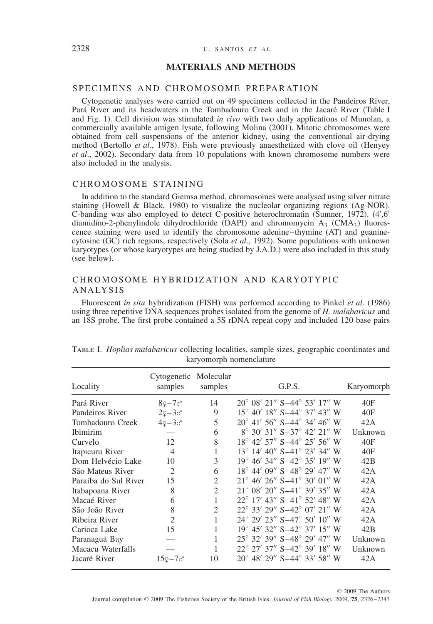#### 2328 U. SANTOS *ET AL* .

## **MATERIALS AND METHODS**

## SPECIMENS AND CHROMOSOME PREPARATION

Cytogenetic analyses were carried out on 49 specimens collected in the Pandeiros River, Para River and its headwaters in the Tombadouro Creek and in the Jacaré River (Table I and Fig. 1). Cell division was stimulated *in vivo* with two daily applications of Munolan, a commercially available antigen lysate, following Molina (2001). Mitotic chromosomes were obtained from cell suspensions of the anterior kidney, using the conventional air-drying method (Bertollo *et al*., 1978). Fish were previously anaesthetized with clove oil (Henyey *et al*., 2002). Secondary data from 10 populations with known chromosome numbers were also included in the analysis.

#### CHROMOSOME STAINING

In addition to the standard Giemsa method, chromosomes were analysed using silver nitrate staining (Howell & Black, 1980) to visualize the nucleolar organizing regions (Ag-NOR). C-banding was also employed to detect C-positive heterochromatin (Sumner, 1972). (4',6' diamidino-2-phenylindole dihydrochloride (DAPI) and chromomycin  $A_3$  (CMA<sub>3</sub>) fluorescence staining were used to identify the chromosome adenine–thymine (AT) and guaninecytosine (GC) rich regions, respectively (Sola *et al*., 1992). Some populations with unknown karyotypes (or whose karyotypes are being studied by J.A.D.) were also included in this study (see below).

## CHROMOSOME HYBRIDIZATION AND KARYOTYPIC ANALYSIS

Fluorescent *in situ* hybridization (FISH) was performed according to Pinkel *et al*. (1986) using three repetitive DNA sequences probes isolated from the genome of *H. malabaricus* and an 18S probe. The first probe contained a 5S rDNA repeat copy and included 120 base pairs

| Locality             | Cytogenetic Molecular<br>samples | samples                     | G.P.S.                                            | Karyomorph |
|----------------------|----------------------------------|-----------------------------|---------------------------------------------------|------------|
| Pará River           | $8$ ?–7 $\sigma$                 | 14                          | $20^{\circ}$ 08' 21" S-44 $^{\circ}$ 53' 17" W    | 40F        |
| Pandeiros River      | $29 - 30$                        | 9                           | $15^{\circ}$ 40' $18''$ S-44 $^{\circ}$ 37' 43" W | 40F        |
| Tombadouro Creek     | $49 - 30$                        | 5                           | $20^{\circ}$ 41' 56" S-44 $^{\circ}$ 34' 46" W    | 42A        |
| <b>Ibimirim</b>      |                                  | 6                           | $8^{\circ}$ 30' 31" S-37 $^{\circ}$ 42' 21" W     | Unknown    |
| Curvelo              | 12                               | 8                           | $18^{\circ}$ 42' 57" S-44 $^{\circ}$ 25' 56" W    | 40F        |
| Itapicuru River      | 4                                |                             | $13^{\circ}$ 14' 40" S-41 $^{\circ}$ 23' 34" W    | 40F        |
| Dom Helvécio Lake    | 10                               | 3                           | $19^{\circ}$ 46' 34" S-42 $^{\circ}$ 35' 19" W    | 42B        |
| São Mateus River     | $\mathfrak{D}_{\mathfrak{p}}$    | 6                           | $18^{\circ}$ 44' 09" S-48 $^{\circ}$ 29' 47" W    | 42A        |
| Paraíba do Sul River | 15                               | $\mathfrak{D}$              | $21^{\circ}$ 46' 26" S-41 $^{\circ}$ 30' 01" W    | 42A        |
| Itabapoana River     | 8                                | $\overline{c}$              | $21^{\circ}$ 08' 20" S-41 $^{\circ}$ 39' 35" W    | 42A        |
| Macaé River          | 6                                |                             | $22^{\circ}$ 17' 43" S-41 $^{\circ}$ 52' 48" W    | 42A        |
| São João River       | 8                                | $\mathcal{D}_{\mathcal{L}}$ | $22^{\circ}$ 33' 29" S-42 $^{\circ}$ 07' 21" W    | 42A        |
| Ribeira River        | $\mathfrak{D}_{\mathfrak{p}}$    |                             | $24^{\circ}$ 29' 23" S-47 $^{\circ}$ 50' 10" W    | 42A        |
| Carioca Lake         | 15                               |                             | $19^{\circ}$ 45' 32" S-42 $^{\circ}$ 37' 15" W    | 42B        |
| Paranaguá Bay        |                                  | 1                           | $25^{\circ}$ 32' 39" S-48 $^{\circ}$ 29' 47" W    | Unknown    |
| Macacu Waterfalls    |                                  |                             | $22^{\circ}$ 27' 37" S-42 $^{\circ}$ 39' 18" W    | Unknown    |
| Jacaré River         | $159 - 70$                       | 10                          | $20^{\circ}$ 48' 29" S-44 $^{\circ}$ 33' 58" W    | 42A        |

Table I. *Hoplias malabaricus* collecting localities, sample sizes, geographic coordinates and karyomorph nomenclature

© 2009 The Authors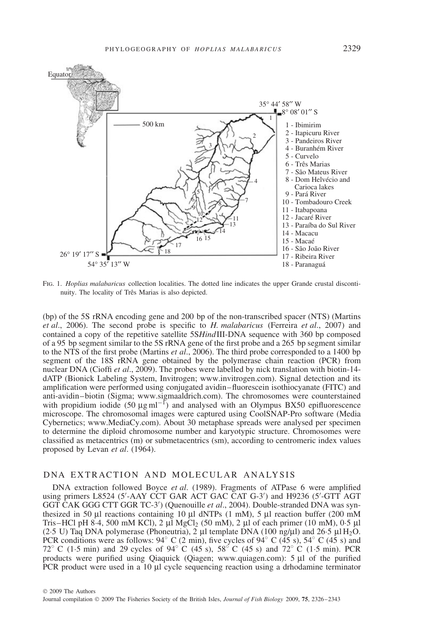

Fig. 1. *Hoplias malabaricus* collection localities. The dotted line indicates the upper Grande crustal discontinuity. The locality of Três Marias is also depicted.

(bp) of the 5S rRNA encoding gene and 200 bp of the non-transcribed spacer (NTS) (Martins *et al*., 2006). The second probe is specific to *H. malabaricus* (Ferreira *et al*., 2007) and contained a copy of the repetitive satellite 5S*Hind*III-DNA sequence with 360 bp composed of a 95 bp segment similar to the 5S rRNA gene of the first probe and a 265 bp segment similar to the NTS of the first probe (Martins *et al*., 2006). The third probe corresponded to a 1400 bp segment of the 18S rRNA gene obtained by the polymerase chain reaction (PCR) from nuclear DNA (Cioffi *et al*., 2009). The probes were labelled by nick translation with biotin-14 dATP (Bionick Labeling System, Invitrogen; www.invitrogen.com). Signal detection and its amplification were performed using conjugated avidin–fluorescein isothiocyanate (FITC) and anti-avidin–biotin (Sigma; www.sigmaaldrich.com). The chromosomes were counterstained with propidium iodide  $(50 \text{ µg} \text{ ml}^{-1})$  and analysed with an Olympus BX50 epifluorescence microscope. The chromosomal images were captured using CoolSNAP-Pro software (Media Cybernetics; www.MediaCy.com). About 30 metaphase spreads were analysed per specimen to determine the diploid chromosome number and karyotypic structure. Chromosomes were classified as metacentrics (m) or submetacentrics (sm), according to centromeric index values proposed by Levan *et al*. (1964).

### DNA EXTRACTION AND MOLECULAR ANALYSIS

DNA extraction followed Boyce *et al*. (1989). Fragments of ATPase 6 were amplified using primers L8524 (5'-AAY CCT GAR ACT GAC CAT G-3') and H9236 (5'-GTT AGT GGT CAK GGG CTT GGR TC-3 ) (Quenouille *et al*., 2004). Double-stranded DNA was synthesized in 50 μl reactions containing 10 μl dNTPs (1 mM), 5 μl reaction buffer (200 mM Tris–HCl pH 8.4, 500 mM KCl), 2 μl MgCl<sub>2</sub> (50 mM), 2 μl of each primer (10 mM), 0.5 μl (2.5 U) Taq DNA polymerase (Phoneutria), 2 μl template DNA (100 ng/μl) and 26.5 μl H<sub>2</sub>O. PCR conditions were as follows:  $94°$  C (2 min), five cycles of  $94°$  C ( $\overline{45}$  s),  $54°$  C ( $\overline{45}$  s) and 72◦ C (1·5 min) and 29 cycles of 94◦ C (45 s), 58◦ C (45 s) and 72◦ C (1·5 min). PCR products were purified using Qiaquick (Qiagen; www.quiagen.com): 5 μl of the purified PCR product were used in a 10 μl cycle sequencing reaction using a drhodamine terminator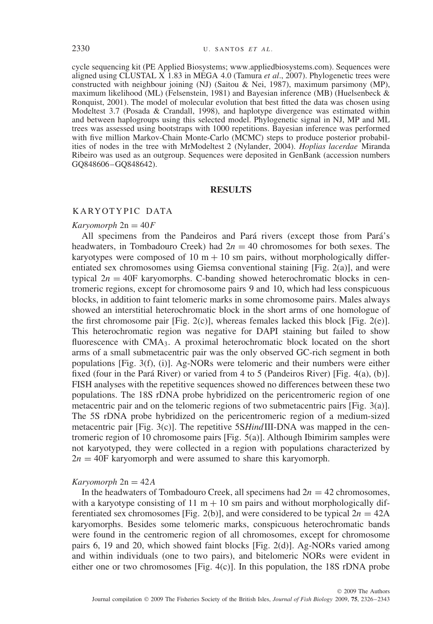cycle sequencing kit (PE Applied Biosystems; www.appliedbiosystems.com). Sequences were aligned using CLUSTAL X 1.83 in MEGA 4.0 (Tamura *et al*., 2007). Phylogenetic trees were constructed with neighbour joining (NJ) (Saitou & Nei, 1987), maximum parsimony (MP), maximum likelihood (ML) (Felsenstein, 1981) and Bayesian inference (MB) (Huelsenbeck & Ronquist, 2001). The model of molecular evolution that best fitted the data was chosen using Modeltest 3.7 (Posada & Crandall, 1998), and haplotype divergence was estimated within and between haplogroups using this selected model. Phylogenetic signal in NJ, MP and ML trees was assessed using bootstraps with 1000 repetitions. Bayesian inference was performed with five million Markov-Chain Monte-Carlo (MCMC) steps to produce posterior probabilities of nodes in the tree with MrModeltest 2 (Nylander, 2004). *Hoplias lacerdae* Miranda Ribeiro was used as an outgroup. Sequences were deposited in GenBank (accession numbers GQ848606–GQ848642).

## **RESULTS**

## KARYOTYPIC DATA

#### $Karvomorph 2n = 40F$

All specimens from the Pandeiros and Pará rivers (except those from Pará's headwaters, in Tombadouro Creek) had  $2n = 40$  chromosomes for both sexes. The karyotypes were composed of 10  $m + 10$  sm pairs, without morphologically differentiated sex chromosomes using Giemsa conventional staining [Fig. 2(a)], and were typical  $2n = 40$ F karyomorphs. C-banding showed heterochromatic blocks in centromeric regions, except for chromosome pairs 9 and 10, which had less conspicuous blocks, in addition to faint telomeric marks in some chromosome pairs. Males always showed an interstitial heterochromatic block in the short arms of one homologue of the first chromosome pair [Fig.  $2(c)$ ], whereas females lacked this block [Fig.  $2(e)$ ]. This heterochromatic region was negative for DAPI staining but failed to show fluorescence with CMA<sub>3</sub>. A proximal heterochromatic block located on the short arms of a small submetacentric pair was the only observed GC-rich segment in both populations [Fig. 3(f), (i)]. Ag-NORs were telomeric and their numbers were either fixed (four in the Pará River) or varied from 4 to 5 (Pandeiros River) [Fig.  $4(a)$ , (b)]. FISH analyses with the repetitive sequences showed no differences between these two populations. The 18S rDNA probe hybridized on the pericentromeric region of one metacentric pair and on the telomeric regions of two submetacentric pairs [Fig. 3(a)]. The 5S rDNA probe hybridized on the pericentromeric region of a medium-sized metacentric pair [Fig. 3(c)]. The repetitive 5S*Hind*III-DNA was mapped in the centromeric region of 10 chromosome pairs [Fig. 5(a)]. Although Ibimirim samples were not karyotyped, they were collected in a region with populations characterized by  $2n = 40$ F karyomorph and were assumed to share this karyomorph.

#### $Karyomorph 2n = 42A$

In the headwaters of Tombadouro Creek, all specimens had  $2n = 42$  chromosomes, with a karyotype consisting of 11  $m + 10$  sm pairs and without morphologically differentiated sex chromosomes [Fig. 2(b)], and were considered to be typical  $2n = 42A$ karyomorphs. Besides some telomeric marks, conspicuous heterochromatic bands were found in the centromeric region of all chromosomes, except for chromosome pairs 6, 19 and 20, which showed faint blocks [Fig. 2(d)]. Ag-NORs varied among and within individuals (one to two pairs), and bitelomeric NORs were evident in either one or two chromosomes  $[Fig. 4(c)]$ . In this population, the 18S rDNA probe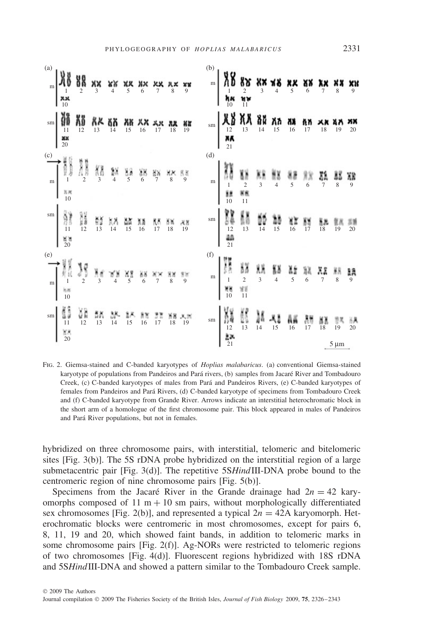| (a) |                                                                                                                                                                                                                                                                                                                                                                                                                                          |                                             |          |    |               |                |            |                    | (b)          |                                                                                                                                                                                                                                                                                                                                                                                                                        |       |  |  |                 |           |              |
|-----|------------------------------------------------------------------------------------------------------------------------------------------------------------------------------------------------------------------------------------------------------------------------------------------------------------------------------------------------------------------------------------------------------------------------------------------|---------------------------------------------|----------|----|---------------|----------------|------------|--------------------|--------------|------------------------------------------------------------------------------------------------------------------------------------------------------------------------------------------------------------------------------------------------------------------------------------------------------------------------------------------------------------------------------------------------------------------------|-------|--|--|-----------------|-----------|--------------|
|     | $\begin{bmatrix} 1 \\ 2 \\ 3 \end{bmatrix}$ $\begin{bmatrix} 1 \\ 3 \\ 4 \end{bmatrix}$ $\begin{bmatrix} 1 \\ 2 \\ 3 \end{bmatrix}$ $\begin{bmatrix} 1 \\ 2 \\ 3 \end{bmatrix}$ $\begin{bmatrix} 1 \\ 2 \\ 3 \end{bmatrix}$ $\begin{bmatrix} 1 \\ 2 \\ 3 \end{bmatrix}$ $\begin{bmatrix} 1 \\ 2 \\ 3 \end{bmatrix}$ $\begin{bmatrix} 1 \\ 2 \\ 3 \end{bmatrix}$ $\begin{bmatrix} 1 \\ 2 \\ 3 \end{bmatrix}$ $\begin{bmatrix} 1 \\ 2 \\ $ |                                             |          |    |               |                |            |                    |              |                                                                                                                                                                                                                                                                                                                                                                                                                        |       |  |  |                 |           |              |
|     | xx<br>$\sqrt{10}$                                                                                                                                                                                                                                                                                                                                                                                                                        |                                             |          |    |               |                |            |                    |              |                                                                                                                                                                                                                                                                                                                                                                                                                        | HK HW |  |  |                 |           |              |
|     | $\text{sm} \left[ \begin{array}{cccc} 0 & 0 & 0 & 0 \\ 0 & 0 & 0 & 0 \\ 0 & 0 & 0 & 0 \\ 0 & 0 & 0 & 0 \end{array} \right] \xrightarrow{\text{R}} \left[ \begin{array}{cccc} 0 & 0 & 0 & 0 \\ 0 & 0 & 0 & 0 \\ 0 & 0 & 0 & 0 \\ 0 & 0 & 0 & 0 \end{array} \right] \xrightarrow{\text{R}} \left[ \begin{array}{cccc} 0 & 0 & 0 & 0 \\ 0 & 0 & 0 & 0 \\ 0 & 0 & 0 & 0 \\ 0 & 0 & 0 & 0 \end{array} \right] \xrightarrow{\$<br>xx<br>20     |                                             |          |    |               |                |            | 19                 |              | $\begin{array}{c}\n\text{sm} \\ \begin{array}{c}\n\text{M} & \text{M} \\ \text{12} & \text{13} \\ \text{14} & \text{15} \\ \text{16} & \text{17}\n\end{array}\n\end{array}$<br>21                                                                                                                                                                                                                                      |       |  |  |                 | 19        | 20           |
|     |                                                                                                                                                                                                                                                                                                                                                                                                                                          |                                             |          |    |               |                |            |                    | (d)          |                                                                                                                                                                                                                                                                                                                                                                                                                        |       |  |  |                 |           |              |
|     | $\begin{picture}(120,110) \put(0,0){\line(1,0){15}} \put(15,0){\line(1,0){15}} \put(15,0){\line(1,0){15}} \put(15,0){\line(1,0){15}} \put(15,0){\line(1,0){15}} \put(15,0){\line(1,0){15}} \put(15,0){\line(1,0){15}} \put(15,0){\line(1,0){15}} \put(15,0){\line(1,0){15}} \put(15,0){\line(1,0){15}} \put(15,0){\line(1,0){15}} \put(15,0){\line$<br>10                                                                                |                                             |          |    |               |                |            |                    | $\mathbf{m}$ |                                                                                                                                                                                                                                                                                                                                                                                                                        |       |  |  |                 |           | Q            |
|     | $\frac{15}{20}$                                                                                                                                                                                                                                                                                                                                                                                                                          |                                             |          |    |               |                |            | $\frac{18}{19}$    |              | $\begin{array}{c ccccc} \text{sm} & \begin{matrix} 1 & 1 & 1 \\ 1 & 1 & 1 \\ 1 & 1 & 1 \\ 1 & 1 & 1 \end{matrix} & \begin{matrix} 1 & 1 & 1 \\ 1 & 1 & 1 \\ 1 & 1 & 1 \end{matrix} & \begin{matrix} 1 & 1 & 1 \\ 1 & 1 & 1 \\ 1 & 1 & 1 \end{matrix} & \begin{matrix} 1 & 1 & 1 \\ 1 & 1 & 1 \\ 1 & 1 & 1 \end{matrix} & \begin{matrix} 1 & 1 & 1 \\ 1 & 1 & 1 \\ 1 & 1 & 1 \end{matrix} & \begin{matrix} 1 & 1$<br>21 |       |  |  | $\frac{8}{18}$  | 19        | 20           |
| (e) |                                                                                                                                                                                                                                                                                                                                                                                                                                          |                                             |          |    |               |                |            |                    | (f)          |                                                                                                                                                                                                                                                                                                                                                                                                                        |       |  |  |                 |           |              |
|     | $\prod_{m=1}^{\infty} \prod_{i=1}^{M} \sum_{j=1}^{M} \sum_{j=1}^{M} \prod_{j=1}^{M} \prod_{j=1}^{M} \prod_{j=1}^{M} \prod_{j=1}^{M} \prod_{j=1}^{M} \prod_{j=1}^{M} \prod_{j=1}^{M} \prod_{j=1}^{M}$<br>10                                                                                                                                                                                                                               |                                             |          |    |               |                |            |                    |              | (f)<br>m<br>$\begin{bmatrix} 1 \\ 1 \\ 1 \end{bmatrix}$<br>$\begin{bmatrix} 1 \\ 1 \\ 2 \\ 3 \end{bmatrix}$<br>$\begin{bmatrix} 1 \\ 1 \\ 3 \\ 4 \end{bmatrix}$<br>$\begin{bmatrix} 1 \\ 1 \\ 2 \\ 4 \end{bmatrix}$<br>$\begin{bmatrix} 1 \\ 1 \\ 3 \\ 4 \end{bmatrix}$<br>$\begin{bmatrix} 1 \\ 1 \\ 5 \\ 6 \end{bmatrix}$<br>$\begin{bmatrix} 1 \\ 1 \\ 2 \\ 1 \end{bmatrix}$                                        |       |  |  |                 | 8         | $\mathbf{Q}$ |
|     | $\begin{array}{c} \mbox{sm} \\ \mbox{sm} \\ \mbox{11} \\ \mbox{N8} \end{array}$<br>20                                                                                                                                                                                                                                                                                                                                                    | $\frac{1}{2}$ $\frac{8}{12}$ $\frac{8}{13}$ | 3%<br>14 | 15 | $rac{16}{16}$ | $\frac{3}{17}$ | n 18<br>18 | $\frac{18.31}{19}$ |              | sm $\begin{bmatrix} 100 \\ 12 \\ 12 \\ 23 \end{bmatrix}$ $\begin{bmatrix} 1 \\ 13 \\ 14 \\ 15 \end{bmatrix}$ $\begin{bmatrix} 1 \\ 14 \\ 15 \end{bmatrix}$ $\begin{bmatrix} 10 \\ 16 \\ 17 \end{bmatrix}$                                                                                                                                                                                                              |       |  |  | $\frac{11}{18}$ | 19        | 20           |
|     |                                                                                                                                                                                                                                                                                                                                                                                                                                          |                                             |          |    |               |                |            |                    |              |                                                                                                                                                                                                                                                                                                                                                                                                                        |       |  |  |                 | $5 \mu m$ |              |

Fig. 2. Giemsa-stained and C-banded karyotypes of *Hoplias malabaricus*. (a) conventional Giemsa-stained karyotype of populations from Pandeiros and Pará rivers, (b) samples from Jacaré River and Tombadouro Creek, (c) C-banded karyotypes of males from Para and Pandeiros Rivers, (e) C-banded karyotypes of ´ females from Pandeiros and Para Rivers, (d) C-banded karyotype of specimens from Tombadouro Creek ´ and (f) C-banded karyotype from Grande River. Arrows indicate an interstitial heterochromatic block in the short arm of a homologue of the first chromosome pair. This block appeared in males of Pandeiros and Pará River populations, but not in females.

hybridized on three chromosome pairs, with interstitial, telomeric and bitelomeric sites [Fig. 3(b)]. The 5S rDNA probe hybridized on the interstitial region of a large submetacentric pair [Fig. 3(d)]. The repetitive 5S*Hind*III-DNA probe bound to the centromeric region of nine chromosome pairs [Fig. 5(b)].

Specimens from the Jacaré River in the Grande drainage had  $2n = 42$  karyomorphs composed of 11  $m + 10$  sm pairs, without morphologically differentiated sex chromosomes [Fig. 2(b)], and represented a typical  $2n = 42A$  karyomorph. Heterochromatic blocks were centromeric in most chromosomes, except for pairs 6, 8, 11, 19 and 20, which showed faint bands, in addition to telomeric marks in some chromosome pairs [Fig. 2(f)]. Ag-NORs were restricted to telomeric regions of two chromosomes [Fig. 4(d)]. Fluorescent regions hybridized with 18S rDNA and 5S*Hind*III-DNA and showed a pattern similar to the Tombadouro Creek sample.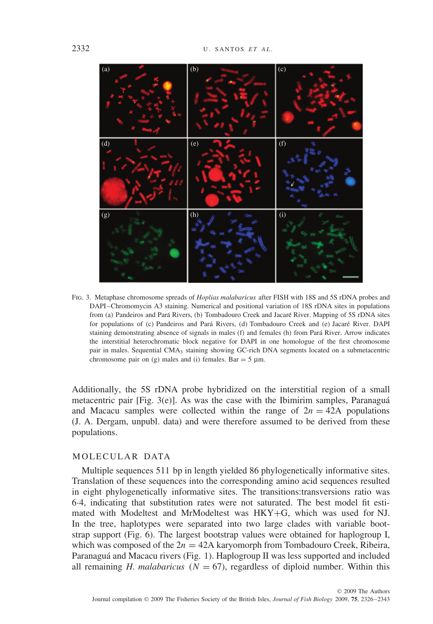

Fig. 3. Metaphase chromosome spreads of *Hoplias malabaricus* after FISH with 18S and 5S rDNA probes and DAPI–Chromomycin A3 staining. Numerical and positional variation of 18S rDNA sites in populations from (a) Pandeiros and Pará Rivers, (b) Tombadouro Creek and Jacaré River. Mapping of 5S rDNA sites for populations of (c) Pandeiros and Pará Rivers, (d) Tombadouro Creek and (e) Jacaré River. DAPI staining demonstrating absence of signals in males (f) and females (h) from Para River. Arrow indicates ´ the interstitial heterochromatic block negative for DAPI in one homologue of the first chromosome pair in males. Sequential CMA3 staining showing GC-rich DNA segments located on a submetacentric chromosome pair on (g) males and (i) females. Bar  $=$  5  $\mu$ m.

Additionally, the 5S rDNA probe hybridized on the interstitial region of a small metacentric pair  $[Fig. 3(e)]$ . As was the case with the Ibimirim samples, Paranaguá and Macacu samples were collected within the range of  $2n = 42A$  populations (J. A. Dergam, unpubl. data) and were therefore assumed to be derived from these populations.

# MOLECULAR DATA

Multiple sequences 511 bp in length yielded 86 phylogenetically informative sites. Translation of these sequences into the corresponding amino acid sequences resulted in eight phylogenetically informative sites. The transitions:transversions ratio was 6·4, indicating that substitution rates were not saturated. The best model fit estimated with Modeltest and MrModeltest was HKY+G, which was used for NJ. In the tree, haplotypes were separated into two large clades with variable bootstrap support (Fig. 6). The largest bootstrap values were obtained for haplogroup I, which was composed of the  $2n = 42A$  karyomorph from Tombadouro Creek, Ribeira, Paranaguá and Macacu rivers (Fig. 1). Haplogroup II was less supported and included all remaining *H. malabaricus* ( $N = 67$ ), regardless of diploid number. Within this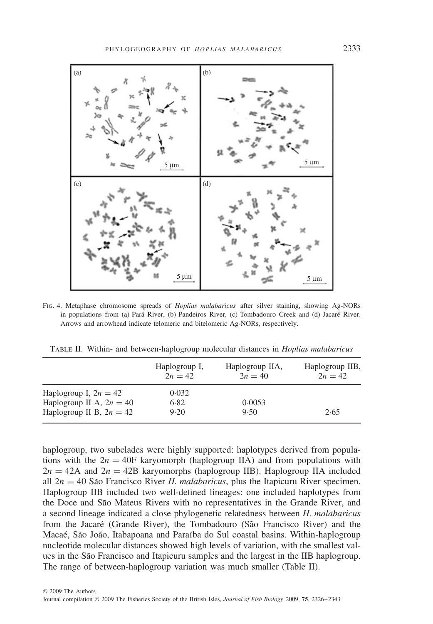

Fig. 4. Metaphase chromosome spreads of *Hoplias malabaricus* after silver staining, showing Ag-NORs in populations from (a) Pará River, (b) Pandeiros River, (c) Tombadouro Creek and (d) Jacaré River. Arrows and arrowhead indicate telomeric and bitelomeric Ag-NORs, respectively.

Table II. Within- and between-haplogroup molecular distances in *Hoplias malabaricus*

|                            | Haplogroup I,<br>$2n = 42$ | Haplogroup IIA,<br>$2n = 40$ | Haplogroup IIB,<br>$2n = 42$ |
|----------------------------|----------------------------|------------------------------|------------------------------|
| Haplogroup I, $2n = 42$    | 0.032                      |                              |                              |
| Haplogroup II A, $2n = 40$ | 6.82                       | 0.0053                       |                              |
| Haplogroup II B, $2n = 42$ | 9.20                       | 9.50                         | 2.65                         |

haplogroup, two subclades were highly supported: haplotypes derived from populations with the  $2n = 40$ F karyomorph (haplogroup IIA) and from populations with  $2n = 42A$  and  $2n = 42B$  karyomorphs (haplogroup IIB). Haplogroup IIA included all  $2n = 40$  São Francisco River *H. malabaricus*, plus the Itapicuru River specimen. Haplogroup IIB included two well-defined lineages: one included haplotypes from the Doce and São Mateus Rivers with no representatives in the Grande River, and a second lineage indicated a close phylogenetic relatedness between *H. malabaricus* from the Jacaré (Grande River), the Tombadouro (São Francisco River) and the Macaé, São João, Itabapoana and Paraíba do Sul coastal basins. Within-haplogroup nucleotide molecular distances showed high levels of variation, with the smallest values in the São Francisco and Itapicuru samples and the largest in the IIB haplogroup. The range of between-haplogroup variation was much smaller (Table II).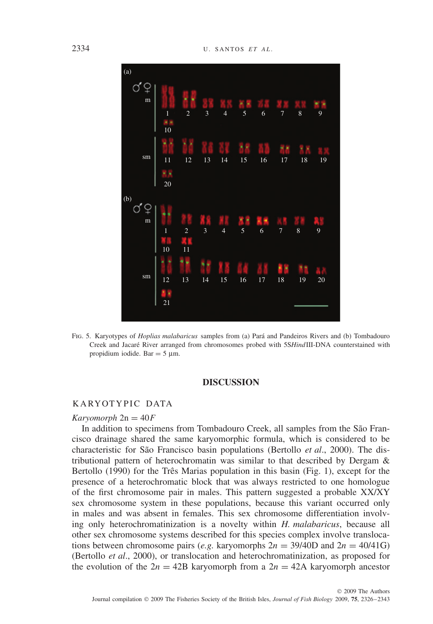

Fig. 5. Karyotypes of *Hoplias malabaricus* samples from (a) Para and Pandeiros Rivers and (b) Tombadouro ´ Creek and Jacaré River arranged from chromosomes probed with 5SHindIII-DNA counterstained with propidium iodide. Bar  $= 5 \mu m$ .

## **DISCUSSION**

#### KARYOTYPIC DATA

#### $Karyomorph 2n = 40F$

In addition to specimens from Tombadouro Creek, all samples from the São Francisco drainage shared the same karyomorphic formula, which is considered to be characteristic for São Francisco basin populations (Bertollo *et al.*, 2000). The distributional pattern of heterochromatin was similar to that described by Dergam & Bertollo  $(1990)$  for the Três Marias population in this basin (Fig. 1), except for the presence of a heterochromatic block that was always restricted to one homologue of the first chromosome pair in males. This pattern suggested a probable XX/XY sex chromosome system in these populations, because this variant occurred only in males and was absent in females. This sex chromosome differentiation involving only heterochromatinization is a novelty within *H. malabaricus*, because all other sex chromosome systems described for this species complex involve translocations between chromosome pairs (*e.g.* karyomorphs  $2n = 39/40D$  and  $2n = 40/41G$ ) (Bertollo *et al*., 2000), or translocation and heterochromatinization, as proposed for the evolution of the  $2n = 42B$  karyomorph from a  $2n = 42A$  karyomorph ancestor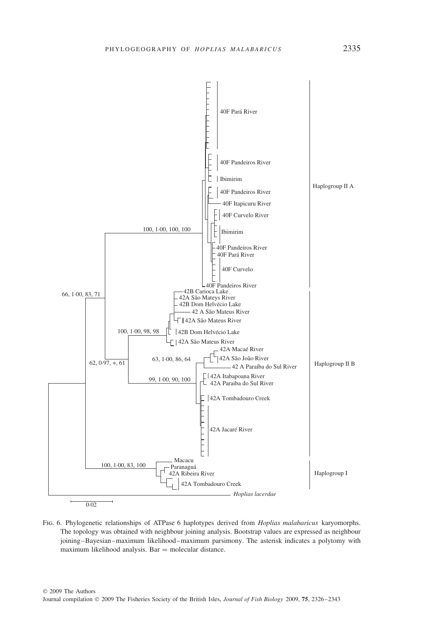

Fig. 6. Phylogenetic relationships of ATPase 6 haplotypes derived from *Hoplias malabaricus* karyomorphs. The topology was obtained with neighbour joining analysis. Bootstrap values are expressed as neighbour joining–Bayesian–maximum likelihood–maximum parsimony. The asterisk indicates a polytomy with maximum likelihood analysis. Bar  $=$  molecular distance.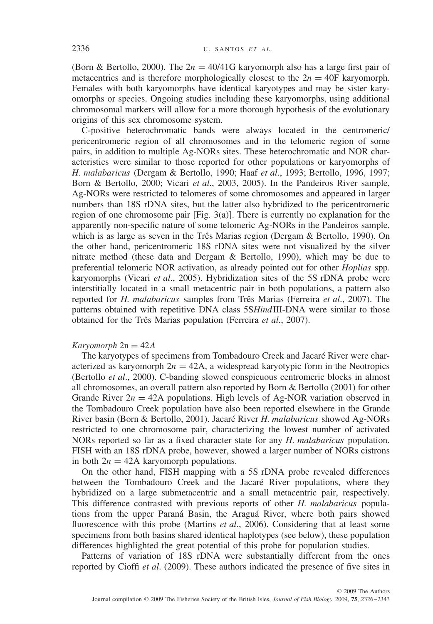(Born & Bertollo, 2000). The 2*n* = 40/41G karyomorph also has a large first pair of metacentrics and is therefore morphologically closest to the  $2n = 40F$  karyomorph. Females with both karyomorphs have identical karyotypes and may be sister karyomorphs or species. Ongoing studies including these karyomorphs, using additional chromosomal markers will allow for a more thorough hypothesis of the evolutionary origins of this sex chromosome system.

C-positive heterochromatic bands were always located in the centromeric/ pericentromeric region of all chromosomes and in the telomeric region of some pairs, in addition to multiple Ag-NORs sites. These heterochromatic and NOR characteristics were similar to those reported for other populations or karyomorphs of *H. malabaricus* (Dergam & Bertollo, 1990; Haaf *et al*., 1993; Bertollo, 1996, 1997; Born & Bertollo, 2000; Vicari *et al*., 2003, 2005). In the Pandeiros River sample, Ag-NORs were restricted to telomeres of some chromosomes and appeared in larger numbers than 18S rDNA sites, but the latter also hybridized to the pericentromeric region of one chromosome pair [Fig. 3(a)]. There is currently no explanation for the apparently non-specific nature of some telomeric Ag-NORs in the Pandeiros sample, which is as large as seven in the Três Marias region (Dergam  $&$  Bertollo, 1990). On the other hand, pericentromeric 18S rDNA sites were not visualized by the silver nitrate method (these data and Dergam & Bertollo, 1990), which may be due to preferential telomeric NOR activation, as already pointed out for other *Hoplias* spp. karyomorphs (Vicari *et al*., 2005). Hybridization sites of the 5S rDNA probe were interstitially located in a small metacentric pair in both populations, a pattern also reported for *H. malabaricus* samples from Três Marias (Ferreira *et al.*, 2007). The patterns obtained with repetitive DNA class 5S*Hind*III-DNA were similar to those obtained for the Três Marias population (Ferreira *et al.*, 2007).

#### $Karvomorph 2n = 42A$

The karyotypes of specimens from Tombadouro Creek and Jacare River were char- ´ acterized as karyomorph  $2n = 42A$ , a widespread karyotypic form in the Neotropics (Bertollo *et al*., 2000). C-banding slowed conspicuous centromeric blocks in almost all chromosomes, an overall pattern also reported by Born & Bertollo (2001) for other Grande River  $2n = 42A$  populations. High levels of Ag-NOR variation observed in the Tombadouro Creek population have also been reported elsewhere in the Grande River basin (Born & Bertollo, 2001). Jacaré River *H. malabaricus* showed Ag-NORs restricted to one chromosome pair, characterizing the lowest number of activated NORs reported so far as a fixed character state for any *H. malabaricus* population. FISH with an 18S rDNA probe, however, showed a larger number of NORs cistrons in both  $2n = 42A$  karyomorph populations.

On the other hand, FISH mapping with a 5S rDNA probe revealed differences between the Tombadouro Creek and the Jacaré River populations, where they hybridized on a large submetacentric and a small metacentric pair, respectively. This difference contrasted with previous reports of other *H. malabaricus* populations from the upper Paraná Basin, the Araguá River, where both pairs showed fluorescence with this probe (Martins *et al*., 2006). Considering that at least some specimens from both basins shared identical haplotypes (see below), these population differences highlighted the great potential of this probe for population studies.

Patterns of variation of 18S rDNA were substantially different from the ones reported by Cioffi *et al*. (2009). These authors indicated the presence of five sites in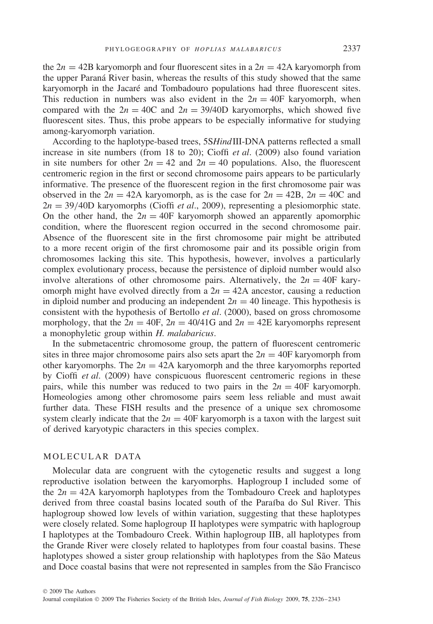the  $2n = 42B$  karyomorph and four fluorescent sites in a  $2n = 42A$  karyomorph from the upper Paraná River basin, whereas the results of this study showed that the same karyomorph in the Jacaré and Tombadouro populations had three fluorescent sites. This reduction in numbers was also evident in the  $2n = 40F$  karyomorph, when compared with the  $2n = 40C$  and  $2n = 39/40D$  karyomorphs, which showed five fluorescent sites. Thus, this probe appears to be especially informative for studying among-karyomorph variation.

According to the haplotype-based trees, 5S*Hind*III-DNA patterns reflected a small increase in site numbers (from 18 to 20); Cioffi *et al*. (2009) also found variation in site numbers for other  $2n = 42$  and  $2n = 40$  populations. Also, the fluorescent centromeric region in the first or second chromosome pairs appears to be particularly informative. The presence of the fluorescent region in the first chromosome pair was observed in the  $2n = 42A$  karyomorph, as is the case for  $2n = 42B$ ,  $2n = 40C$  and 2*n* = 39*/*40D karyomorphs (Cioffi *et al*., 2009), representing a plesiomorphic state. On the other hand, the  $2n = 40F$  karyomorph showed an apparently apomorphic condition, where the fluorescent region occurred in the second chromosome pair. Absence of the fluorescent site in the first chromosome pair might be attributed to a more recent origin of the first chromosome pair and its possible origin from chromosomes lacking this site. This hypothesis, however, involves a particularly complex evolutionary process, because the persistence of diploid number would also involve alterations of other chromosome pairs. Alternatively, the  $2n = 40$ F karyomorph might have evolved directly from a  $2n = 42A$  ancestor, causing a reduction in diploid number and producing an independent  $2n = 40$  lineage. This hypothesis is consistent with the hypothesis of Bertollo *et al*. (2000), based on gross chromosome morphology, that the  $2n = 40F$ ,  $2n = 40/41G$  and  $2n = 42E$  karyomorphs represent a monophyletic group within *H. malabaricus*.

In the submetacentric chromosome group, the pattern of fluorescent centromeric sites in three major chromosome pairs also sets apart the  $2n = 40F$  karyomorph from other karyomorphs. The  $2n = 42A$  karyomorph and the three karyomorphs reported by Cioffi *et al*. (2009) have conspicuous fluorescent centromeric regions in these pairs, while this number was reduced to two pairs in the  $2n = 40$ F karyomorph. Homeologies among other chromosome pairs seem less reliable and must await further data. These FISH results and the presence of a unique sex chromosome system clearly indicate that the  $2n = 40$ F karyomorph is a taxon with the largest suit of derived karyotypic characters in this species complex.

# MOLECULAR DATA

Molecular data are congruent with the cytogenetic results and suggest a long reproductive isolation between the karyomorphs. Haplogroup I included some of the  $2n = 42A$  karyomorph haplotypes from the Tombadouro Creek and haplotypes derived from three coastal basins located south of the Paraíba do Sul River. This haplogroup showed low levels of within variation, suggesting that these haplotypes were closely related. Some haplogroup II haplotypes were sympatric with haplogroup I haplotypes at the Tombadouro Creek. Within haplogroup IIB, all haplotypes from the Grande River were closely related to haplotypes from four coastal basins. These haplotypes showed a sister group relationship with haplotypes from the São Mateus and Doce coastal basins that were not represented in samples from the São Francisco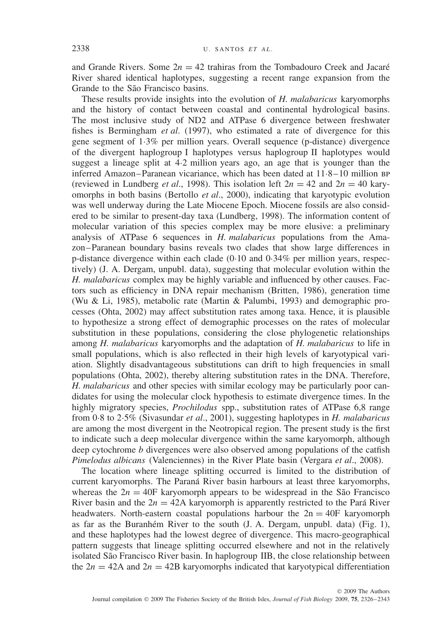and Grande Rivers. Some  $2n = 42$  trahiras from the Tombadouro Creek and Jacaré River shared identical haplotypes, suggesting a recent range expansion from the Grande to the São Francisco basins.

These results provide insights into the evolution of *H. malabaricus* karyomorphs and the history of contact between coastal and continental hydrological basins. The most inclusive study of ND2 and ATPase 6 divergence between freshwater fishes is Bermingham *et al*. (1997), who estimated a rate of divergence for this gene segment of 1·3% per million years. Overall sequence (p-distance) divergence of the divergent haplogroup I haplotypes versus haplogroup II haplotypes would suggest a lineage split at 4·2 million years ago, an age that is younger than the inferred Amazon–Paranean vicariance, which has been dated at 11·8–10 million bp (reviewed in Lundberg *et al.*, 1998). This isolation left  $2n = 42$  and  $2n = 40$  karyomorphs in both basins (Bertollo *et al*., 2000), indicating that karyotypic evolution was well underway during the Late Miocene Epoch. Miocene fossils are also considered to be similar to present-day taxa (Lundberg, 1998). The information content of molecular variation of this species complex may be more elusive: a preliminary analysis of ATPase 6 sequences in *H. malabaricus* populations from the Amazon–Paranean boundary basins reveals two clades that show large differences in p-distance divergence within each clade (0·10 and 0·34% per million years, respectively) (J. A. Dergam, unpubl. data), suggesting that molecular evolution within the *H. malabaricus* complex may be highly variable and influenced by other causes. Factors such as efficiency in DNA repair mechanism (Britten, 1986), generation time (Wu & Li, 1985), metabolic rate (Martin & Palumbi, 1993) and demographic processes (Ohta, 2002) may affect substitution rates among taxa. Hence, it is plausible to hypothesize a strong effect of demographic processes on the rates of molecular substitution in these populations, considering the close phylogenetic relationships among *H. malabaricus* karyomorphs and the adaptation of *H. malabaricus* to life in small populations, which is also reflected in their high levels of karyotypical variation. Slightly disadvantageous substitutions can drift to high frequencies in small populations (Ohta, 2002), thereby altering substitution rates in the DNA. Therefore, *H. malabaricus* and other species with similar ecology may be particularly poor candidates for using the molecular clock hypothesis to estimate divergence times. In the highly migratory species, *Prochilodus* spp., substitution rates of ATPase 6,8 range from 0·8 to 2·5% (Sivasundar *et al*., 2001), suggesting haplotypes in *H. malabaricus* are among the most divergent in the Neotropical region. The present study is the first to indicate such a deep molecular divergence within the same karyomorph, although deep cytochrome *b* divergences were also observed among populations of the catfish *Pimelodus albicans* (Valenciennes) in the River Plate basin (Vergara *et al*., 2008).

The location where lineage splitting occurred is limited to the distribution of current karyomorphs. The Paraná River basin harbours at least three karyomorphs, whereas the  $2n = 40$ F karyomorph appears to be widespread in the São Francisco River basin and the  $2n = 42A$  karyomorph is apparently restricted to the Pará River headwaters. North-eastern coastal populations harbour the  $2n = 40F$  karyomorph as far as the Buranhém River to the south  $(J. A.$  Dergam, unpubl. data) (Fig. 1), and these haplotypes had the lowest degree of divergence. This macro-geographical pattern suggests that lineage splitting occurred elsewhere and not in the relatively isolated São Francisco River basin. In haplogroup IIB, the close relationship between the  $2n = 42A$  and  $2n = 42B$  karyomorphs indicated that karyotypical differentiation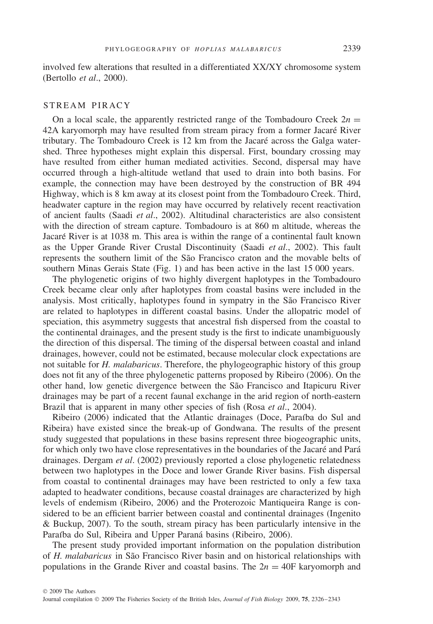involved few alterations that resulted in a differentiated XX/XY chromosome system (Bertollo *et al*., 2000).

#### STREAM PIRACY

On a local scale, the apparently restricted range of the Tombadouro Creek  $2n =$ 42A karyomorph may have resulted from stream piracy from a former Jacare River ´ tributary. The Tombadouro Creek is 12 km from the Jacare across the Galga water- ´ shed. Three hypotheses might explain this dispersal. First, boundary crossing may have resulted from either human mediated activities. Second, dispersal may have occurred through a high-altitude wetland that used to drain into both basins. For example, the connection may have been destroyed by the construction of BR 494 Highway, which is 8 km away at its closest point from the Tombadouro Creek. Third, headwater capture in the region may have occurred by relatively recent reactivation of ancient faults (Saadi *et al*., 2002). Altitudinal characteristics are also consistent with the direction of stream capture. Tombadouro is at 860 m altitude, whereas the Jacaré River is at 1038 m. This area is within the range of a continental fault known as the Upper Grande River Crustal Discontinuity (Saadi *et al*., 2002). This fault represents the southern limit of the São Francisco craton and the movable belts of southern Minas Gerais State (Fig. 1) and has been active in the last 15 000 years.

The phylogenetic origins of two highly divergent haplotypes in the Tombadouro Creek became clear only after haplotypes from coastal basins were included in the analysis. Most critically, haplotypes found in sympatry in the São Francisco River are related to haplotypes in different coastal basins. Under the allopatric model of speciation, this asymmetry suggests that ancestral fish dispersed from the coastal to the continental drainages, and the present study is the first to indicate unambiguously the direction of this dispersal. The timing of the dispersal between coastal and inland drainages, however, could not be estimated, because molecular clock expectations are not suitable for *H. malabaricus*. Therefore, the phylogeographic history of this group does not fit any of the three phylogenetic patterns proposed by Ribeiro (2006). On the other hand, low genetic divergence between the São Francisco and Itapicuru River drainages may be part of a recent faunal exchange in the arid region of north-eastern Brazil that is apparent in many other species of fish (Rosa *et al*., 2004).

Ribeiro (2006) indicated that the Atlantic drainages (Doce, Paraíba do Sul and Ribeira) have existed since the break-up of Gondwana. The results of the present study suggested that populations in these basins represent three biogeographic units, for which only two have close representatives in the boundaries of the Jacaré and Pará drainages. Dergam *et al*. (2002) previously reported a close phylogenetic relatedness between two haplotypes in the Doce and lower Grande River basins. Fish dispersal from coastal to continental drainages may have been restricted to only a few taxa adapted to headwater conditions, because coastal drainages are characterized by high levels of endemism (Ribeiro, 2006) and the Proterozoic Mantiqueira Range is considered to be an efficient barrier between coastal and continental drainages (Ingenito & Buckup, 2007). To the south, stream piracy has been particularly intensive in the Paraíba do Sul, Ribeira and Upper Paraná basins (Ribeiro, 2006).

The present study provided important information on the population distribution of *H. malabaricus* in Sao Francisco River basin and on historical relationships with ˜ populations in the Grande River and coastal basins. The  $2n = 40F$  karyomorph and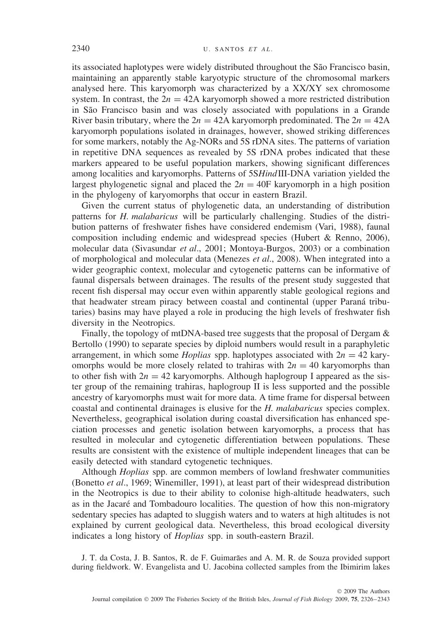its associated haplotypes were widely distributed throughout the São Francisco basin, maintaining an apparently stable karyotypic structure of the chromosomal markers analysed here. This karyomorph was characterized by a XX/XY sex chromosome system. In contrast, the  $2n = 42A$  karyomorph showed a more restricted distribution in São Francisco basin and was closely associated with populations in a Grande River basin tributary, where the  $2n = 42A$  karyomorph predominated. The  $2n = 42A$ karyomorph populations isolated in drainages, however, showed striking differences for some markers, notably the Ag-NORs and 5S rDNA sites. The patterns of variation in repetitive DNA sequences as revealed by 5S rDNA probes indicated that these markers appeared to be useful population markers, showing significant differences among localities and karyomorphs. Patterns of 5S*Hind*III-DNA variation yielded the largest phylogenetic signal and placed the  $2n = 40$ F karyomorph in a high position in the phylogeny of karyomorphs that occur in eastern Brazil.

Given the current status of phylogenetic data, an understanding of distribution patterns for *H. malabaricus* will be particularly challenging. Studies of the distribution patterns of freshwater fishes have considered endemism (Vari, 1988), faunal composition including endemic and widespread species (Hubert & Renno, 2006), molecular data (Sivasundar *et al*., 2001; Montoya-Burgos, 2003) or a combination of morphological and molecular data (Menezes *et al*., 2008). When integrated into a wider geographic context, molecular and cytogenetic patterns can be informative of faunal dispersals between drainages. The results of the present study suggested that recent fish dispersal may occur even within apparently stable geological regions and that headwater stream piracy between coastal and continental (upper Paraná tributaries) basins may have played a role in producing the high levels of freshwater fish diversity in the Neotropics.

Finally, the topology of mtDNA-based tree suggests that the proposal of Dergam & Bertollo (1990) to separate species by diploid numbers would result in a paraphyletic arrangement, in which some *Hoplias* spp. haplotypes associated with  $2n = 42$  karyomorphs would be more closely related to trahiras with  $2n = 40$  karyomorphs than to other fish with  $2n = 42$  karyomorphs. Although haplogroup I appeared as the sister group of the remaining trahiras, haplogroup  $\Pi$  is less supported and the possible ancestry of karyomorphs must wait for more data. A time frame for dispersal between coastal and continental drainages is elusive for the *H. malabaricus* species complex. Nevertheless, geographical isolation during coastal diversification has enhanced speciation processes and genetic isolation between karyomorphs, a process that has resulted in molecular and cytogenetic differentiation between populations. These results are consistent with the existence of multiple independent lineages that can be easily detected with standard cytogenetic techniques.

Although *Hoplias* spp. are common members of lowland freshwater communities (Bonetto *et al*., 1969; Winemiller, 1991), at least part of their widespread distribution in the Neotropics is due to their ability to colonise high-altitude headwaters, such as in the Jacare and Tombadouro localities. The question of how this non-migratory ´ sedentary species has adapted to sluggish waters and to waters at high altitudes is not explained by current geological data. Nevertheless, this broad ecological diversity indicates a long history of *Hoplias* spp. in south-eastern Brazil.

J. T. da Costa, J. B. Santos, R. de F. Guimaraes and A. M. R. de Souza provided support ˜ during fieldwork. W. Evangelista and U. Jacobina collected samples from the Ibimirim lakes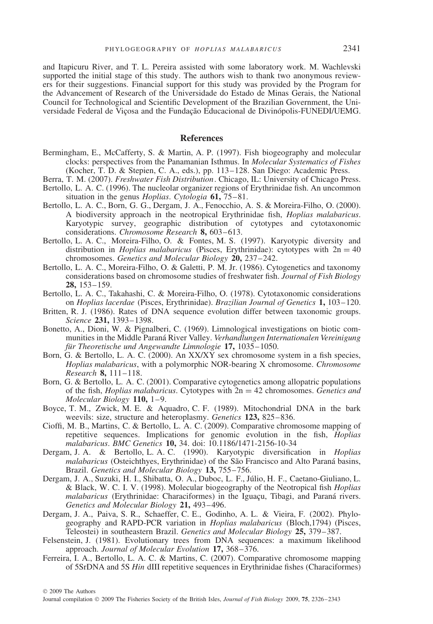and Itapicuru River, and T. L. Pereira assisted with some laboratory work. M. Wachlevski supported the initial stage of this study. The authors wish to thank two anonymous reviewers for their suggestions. Financial support for this study was provided by the Program for the Advancement of Research of the Universidade do Estado de Minas Gerais, the National Council for Technological and Scientific Development of the Brazilian Government, the Universidade Federal de Vicosa and the Fundacão Educacional de Divinópolis-FUNEDI/UEMG.

#### **References**

- Bermingham, E., McCafferty, S. & Martin, A. P. (1997). Fish biogeography and molecular clocks: perspectives from the Panamanian Isthmus. In *Molecular Systematics of Fishes* (Kocher, T. D. & Stepien, C. A., eds.), pp. 113–128. San Diego: Academic Press.
- Berra, T. M. (2007). *Freshwater Fish Distribution*. Chicago, IL: University of Chicago Press. Bertollo, L. A. C. (1996). The nucleolar organizer regions of Erythrinidae fish. An uncommon
- situation in the genus *Hoplias*. *Cytologia* **61,** 75–81. Bertollo, L. A. C., Born, G. G., Dergam, J. A., Fenocchio, A. S. & Moreira-Filho, O. (2000).
- A biodiversity approach in the neotropical Erythrinidae fish, *Hoplias malabaricus*. Karyotypic survey, geographic distribution of cytotypes and cytotaxonomic considerations. *Chromosome Research* **8,** 603–613.
- Bertollo, L. A. C., Moreira-Filho, O. & Fontes, M. S. (1997). Karyotypic diversity and distribution in *Hoplias malabaricus* (Pisces, Erythrinidae): cytotypes with  $2n = 40$ chromosomes. *Genetics and Molecular Biology* **20,** 237–242.
- Bertollo, L. A. C., Moreira-Filho, O. & Galetti, P. M. Jr. (1986). Cytogenetics and taxonomy considerations based on chromosome studies of freshwater fish. *Journal of Fish Biology* **28,** 153–159.
- Bertollo, L. A. C., Takahashi, C. & Moreira-Filho, O. (1978). Cytotaxonomic considerations on *Hoplias lacerdae* (Pisces, Erythrinidae). *Brazilian Journal of Genetics* **1,** 103–120.
- Britten, R. J. (1986). Rates of DNA sequence evolution differ between taxonomic groups. *Science* **231,** 1393–1398.
- Bonetto, A., Dioni, W. & Pignalberi, C. (1969). Limnological investigations on biotic communities in the Middle Paraná River Valley. Verhandlungen Internationalen Vereinigung *für Theoretische und Angewandte Limnologie* 17, 1035–1050.
- Born, G. & Bertollo, L. A. C. (2000). An XX/XY sex chromosome system in a fish species, *Hoplias malabaricus*, with a polymorphic NOR-bearing X chromosome. *Chromosome Research* **8,** 111–118.
- Born, G. & Bertollo, L. A. C. (2001). Comparative cytogenetics among allopatric populations of the fish, *Hoplias malabaricus*. Cytotypes with 2n = 42 chromosomes. *Genetics and Molecular Biology* **110,** 1–9.
- Boyce, T. M., Zwick, M. E. & Aquadro, C. F. (1989). Mitochondrial DNA in the bark weevils: size, structure and heteroplasmy. *Genetics* **123,** 825–836.
- Cioffi, M. B., Martins, C. & Bertollo, L. A. C. (2009). Comparative chromosome mapping of repetitive sequences. Implications for genomic evolution in the fish, *Hoplias malabaricus*. *BMC Genetics* **10,** 34. doi: 10.1186/1471-2156-10-34
- Dergam, J. A. & Bertollo, L. A. C. (1990). Karyotypic diversification in *Hoplias malabaricus* (Osteichthyes, Erythrinidae) of the São Francisco and Alto Paraná basins, Brazil. *Genetics and Molecular Biology* **13,** 755–756.
- Dergam, J. A., Suzuki, H. I., Shibatta, O. A., Duboc, L. F., Julio, H. F., Caetano-Giuliano, L. ´ & Black, W. C. I. V. (1998). Molecular biogeography of the Neotropical fish *Hoplias malabaricus* (Erythrinidae: Characiformes) in the Iguacu, Tibagi, and Paraná rivers. *Genetics and Molecular Biology* **21,** 493–496.
- Dergam, J. A., Paiva, S. R., Schaeffer, C. E., Godinho, A. L. & Vieira, F. (2002). Phylogeography and RAPD-PCR variation in *Hoplias malabaricus* (Bloch,1794) (Pisces, Teleostei) in southeastern Brazil. *Genetics and Molecular Biology* **25,** 379–387.
- Felsenstein, J. (1981). Evolutionary trees from DNA sequences: a maximum likelihood approach. *Journal of Molecular Evolution* **17,** 368–376.
- Ferreira, I. A., Bertollo, L. A. C. & Martins, C. (2007). Comparative chromosome mapping of 5SrDNA and 5S *Hin* dIII repetitive sequences in Erythrinidae fishes (Characiformes)

© 2009 The Authors

Journal compilation © 2009 The Fisheries Society of the British Isles, *Journal of Fish Biology* 2009, **75**, 2326–2343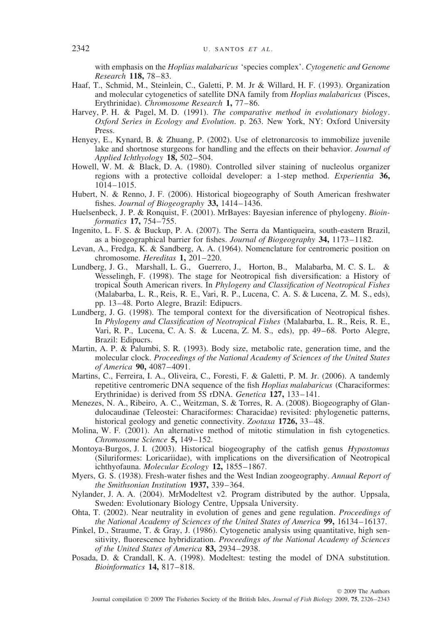with emphasis on the *Hoplias malabaricus* 'species complex'. *Cytogenetic and Genome Research* **118,** 78–83.

- Haaf, T., Schmid, M., Steinlein, C., Galetti, P. M. Jr & Willard, H. F. (1993). Organization and molecular cytogenetics of satellite DNA family from *Hoplias malabaricus* (Pisces, Erythrinidae). *Chromosome Research* **1,** 77–86.
- Harvey, P. H. & Pagel, M. D. (1991). *The comparative method in evolutionary biology*. *Oxford Series in Ecology and Evolution*. p. 263. New York, NY: Oxford University Press.
- Henyey, E., Kynard, B. & Zhuang, P. (2002). Use of eletronarcosis to immobilize juvenile lake and shortnose sturgeons for handling and the effects on their behavior. *Journal of Applied Ichthyology* **18,** 502–504.
- Howell, W. M. & Black, D. A. (1980). Controlled silver staining of nucleolus organizer regions with a protective colloidal developer: a 1-step method. *Experientia* **36,** 1014–1015.
- Hubert, N. & Renno, J. F. (2006). Historical biogeography of South American freshwater fishes. *Journal of Biogeography* **33,** 1414–1436.
- Huelsenbeck, J. P. & Ronquist, F. (2001). MrBayes: Bayesian inference of phylogeny. *Bioinformatics* **17,** 754–755.
- Ingenito, L. F. S. & Buckup, P. A. (2007). The Serra da Mantiqueira, south-eastern Brazil, as a biogeographical barrier for fishes. *Journal of Biogeography* **34,** 1173–1182.
- Levan, A., Fredga, K. & Sandberg, A. A. (1964). Nomenclature for centromeric position on chromosome. *Hereditas* **1,** 201–220.
- Lundberg, J. G., Marshall, L. G., Guerrero, J., Horton, B., Malabarba, M. C. S. L. & Wesselingh, F. (1998). The stage for Neotropical fish diversification: a History of tropical South American rivers. In *Phylogeny and Classification of Neotropical Fishes* (Malabarba, L. R., Reis, R. E., Vari, R. P., Lucena, C. A. S. & Lucena, Z. M. S., eds), pp. 13–48. Porto Alegre, Brazil: Edipucrs.
- Lundberg, J. G. (1998). The temporal context for the diversification of Neotropical fishes. In *Phylogeny and Classification of Neotropical Fishes* (Malabarba, L. R., Reis, R. E., Vari, R. P., Lucena, C. A. S. & Lucena, Z. M. S., eds), pp. 49–68. Porto Alegre, Brazil: Edipucrs.
- Martin, A. P. & Palumbi, S. R. (1993). Body size, metabolic rate, generation time, and the molecular clock. *Proceedings of the National Academy of Sciences of the United States of America* **90,** 4087–4091.
- Martins, C., Ferreira, I. A., Oliveira, C., Foresti, F. & Galetti, P. M. Jr. (2006). A tandemly repetitive centromeric DNA sequence of the fish *Hoplias malabaricus* (Characiformes: Erythrinidae) is derived from 5S rDNA. *Genetica* **127,** 133–141.
- Menezes, N. A., Ribeiro, A. C., Weitzman, S. & Torres, R. A. (2008). Biogeography of Glandulocaudinae (Teleostei: Characiformes: Characidae) revisited: phylogenetic patterns, historical geology and genetic connectivity. *Zootaxa* **1726,** 33–48.
- Molina, W. F. (2001). An alternative method of mitotic stimulation in fish cytogenetics. *Chromosome Science* **5,** 149–152.
- Montoya-Burgos, J. I. (2003). Historical biogeography of the catfish genus *Hypostomus* (Siluriformes: Loricariidae), with implications on the diversification of Neotropical ichthyofauna. *Molecular Ecology* **12,** 1855–1867.
- Myers, G. S. (1938). Fresh-water fishes and the West Indian zoogeography. *Annual Report of the Smithsonian Institution* **1937,** 339–364.
- Nylander, J. A. A. (2004). MrModeltest v2. Program distributed by the author. Uppsala, Sweden: Evolutionary Biology Centre, Uppsala University.
- Ohta, T. (2002). Near neutrality in evolution of genes and gene regulation. *Proceedings of the National Academy of Sciences of the United States of America* **99,** 16134–16137.
- Pinkel, D., Straume, T. & Gray, J. (1986). Cytogenetic analysis using quantitative, high sensitivity, fluorescence hybridization. *Proceedings of the National Academy of Sciences of the United States of America* **83,** 2934–2938.
- Posada, D. & Crandall, K. A. (1998). Modeltest: testing the model of DNA substitution. *Bioinformatics* **14,** 817–818.